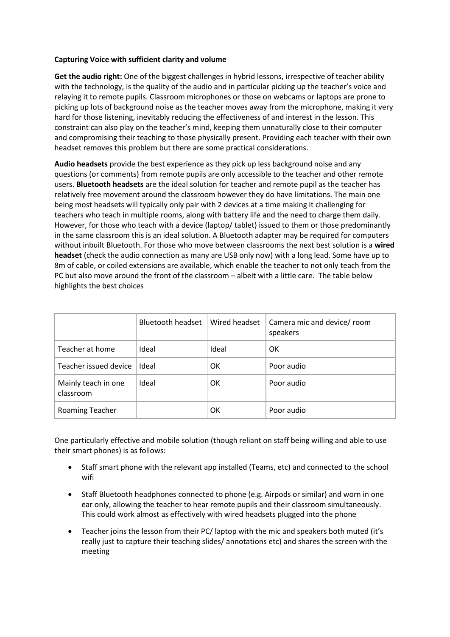## **Capturing Voice with sufficient clarity and volume**

**Get the audio right:** One of the biggest challenges in hybrid lessons, irrespective of teacher ability with the technology, is the quality of the audio and in particular picking up the teacher's voice and relaying it to remote pupils. Classroom microphones or those on webcams or laptops are prone to picking up lots of background noise as the teacher moves away from the microphone, making it very hard for those listening, inevitably reducing the effectiveness of and interest in the lesson. This constraint can also play on the teacher's mind, keeping them unnaturally close to their computer and compromising their teaching to those physically present. Providing each teacher with their own headset removes this problem but there are some practical considerations.

**Audio headsets** provide the best experience as they pick up less background noise and any questions (or comments) from remote pupils are only accessible to the teacher and other remote users. **Bluetooth headsets** are the ideal solution for teacher and remote pupil as the teacher has relatively free movement around the classroom however they do have limitations. The main one being most headsets will typically only pair with 2 devices at a time making it challenging for teachers who teach in multiple rooms, along with battery life and the need to charge them daily. However, for those who teach with a device (laptop/ tablet) issued to them or those predominantly in the same classroom this is an ideal solution. A Bluetooth adapter may be required for computers without inbuilt Bluetooth. For those who move between classrooms the next best solution is a **wired headset** (check the audio connection as many are USB only now) with a long lead. Some have up to 8m of cable, or coiled extensions are available, which enable the teacher to not only teach from the PC but also move around the front of the classroom – albeit with a little care. The table below highlights the best choices

|                                  | Bluetooth headset | Wired headset | Camera mic and device/ room<br>speakers |
|----------------------------------|-------------------|---------------|-----------------------------------------|
| Teacher at home                  | Ideal             | Ideal         | OK                                      |
| Teacher issued device            | Ideal             | OK            | Poor audio                              |
| Mainly teach in one<br>classroom | Ideal             | OK            | Poor audio                              |
| Roaming Teacher                  |                   | OK            | Poor audio                              |

One particularly effective and mobile solution (though reliant on staff being willing and able to use their smart phones) is as follows:

- Staff smart phone with the relevant app installed (Teams, etc) and connected to the school wifi
- Staff Bluetooth headphones connected to phone (e.g. Airpods or similar) and worn in one ear only, allowing the teacher to hear remote pupils and their classroom simultaneously. This could work almost as effectively with wired headsets plugged into the phone
- Teacher joins the lesson from their PC/ laptop with the mic and speakers both muted (it's really just to capture their teaching slides/ annotations etc) and shares the screen with the meeting